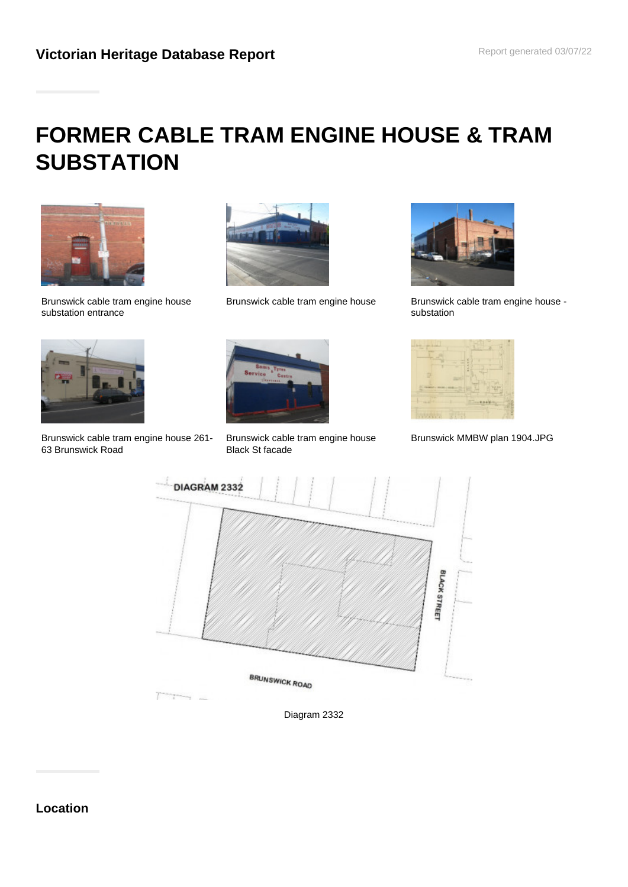# **FORMER CABLE TRAM ENGINE HOUSE & TRAM SUBSTATION**



Brunswick cable tram engine house substation entrance





Brunswick cable tram engine house Brunswick cable tram engine house substation



Brunswick cable tram engine house 261- 63 Brunswick Road



Brunswick cable tram engine house Black St facade



Brunswick MMBW plan 1904.JPG



Diagram 2332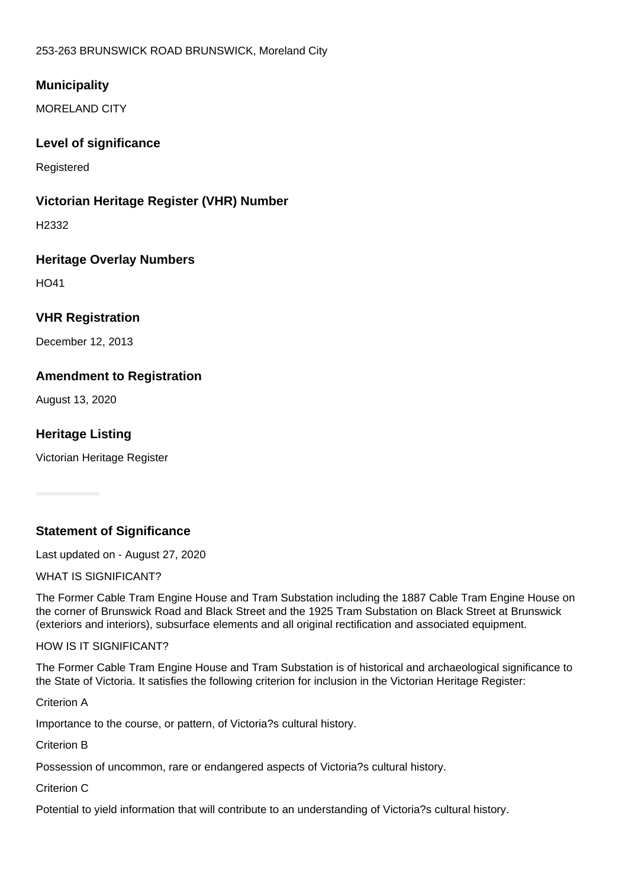253-263 BRUNSWICK ROAD BRUNSWICK, Moreland City

# **Municipality**

MORELAND CITY

# **Level of significance**

Registered

# **Victorian Heritage Register (VHR) Number**

H2332

# **Heritage Overlay Numbers**

HO41

# **VHR Registration**

December 12, 2013

# **Amendment to Registration**

August 13, 2020

# **Heritage Listing**

Victorian Heritage Register

# **Statement of Significance**

Last updated on - August 27, 2020

WHAT IS SIGNIFICANT?

The Former Cable Tram Engine House and Tram Substation including the 1887 Cable Tram Engine House on the corner of Brunswick Road and Black Street and the 1925 Tram Substation on Black Street at Brunswick (exteriors and interiors), subsurface elements and all original rectification and associated equipment.

#### HOW IS IT SIGNIFICANT?

The Former Cable Tram Engine House and Tram Substation is of historical and archaeological significance to the State of Victoria. It satisfies the following criterion for inclusion in the Victorian Heritage Register:

Criterion A

Importance to the course, or pattern, of Victoria?s cultural history.

Criterion B

Possession of uncommon, rare or endangered aspects of Victoria?s cultural history.

Criterion C

Potential to yield information that will contribute to an understanding of Victoria?s cultural history.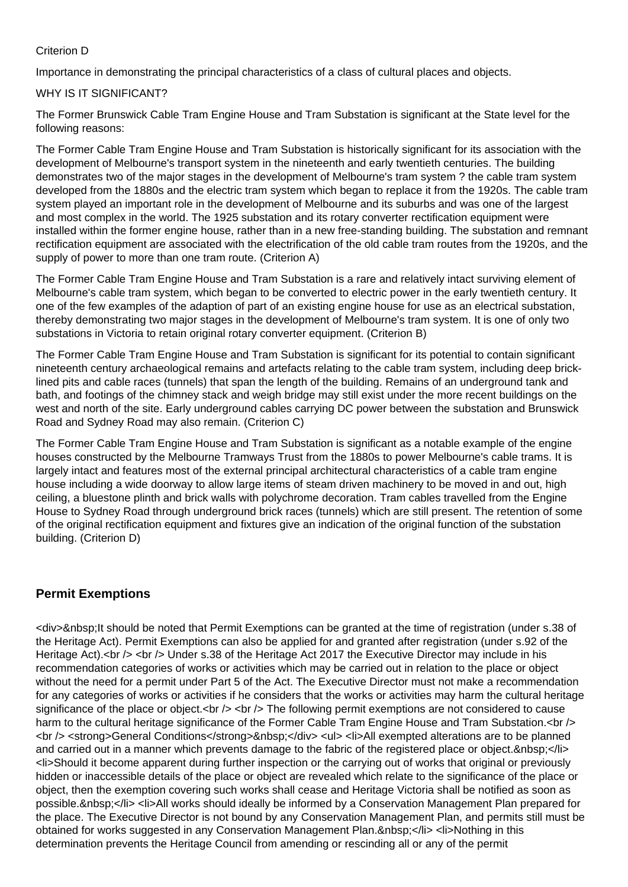#### Criterion D

Importance in demonstrating the principal characteristics of a class of cultural places and objects.

#### WHY IS IT SIGNIFICANT?

The Former Brunswick Cable Tram Engine House and Tram Substation is significant at the State level for the following reasons:

The Former Cable Tram Engine House and Tram Substation is historically significant for its association with the development of Melbourne's transport system in the nineteenth and early twentieth centuries. The building demonstrates two of the major stages in the development of Melbourne's tram system ? the cable tram system developed from the 1880s and the electric tram system which began to replace it from the 1920s. The cable tram system played an important role in the development of Melbourne and its suburbs and was one of the largest and most complex in the world. The 1925 substation and its rotary converter rectification equipment were installed within the former engine house, rather than in a new free-standing building. The substation and remnant rectification equipment are associated with the electrification of the old cable tram routes from the 1920s, and the supply of power to more than one tram route. (Criterion A)

The Former Cable Tram Engine House and Tram Substation is a rare and relatively intact surviving element of Melbourne's cable tram system, which began to be converted to electric power in the early twentieth century. It one of the few examples of the adaption of part of an existing engine house for use as an electrical substation, thereby demonstrating two major stages in the development of Melbourne's tram system. It is one of only two substations in Victoria to retain original rotary converter equipment. (Criterion B)

The Former Cable Tram Engine House and Tram Substation is significant for its potential to contain significant nineteenth century archaeological remains and artefacts relating to the cable tram system, including deep bricklined pits and cable races (tunnels) that span the length of the building. Remains of an underground tank and bath, and footings of the chimney stack and weigh bridge may still exist under the more recent buildings on the west and north of the site. Early underground cables carrying DC power between the substation and Brunswick Road and Sydney Road may also remain. (Criterion C)

The Former Cable Tram Engine House and Tram Substation is significant as a notable example of the engine houses constructed by the Melbourne Tramways Trust from the 1880s to power Melbourne's cable trams. It is largely intact and features most of the external principal architectural characteristics of a cable tram engine house including a wide doorway to allow large items of steam driven machinery to be moved in and out, high ceiling, a bluestone plinth and brick walls with polychrome decoration. Tram cables travelled from the Engine House to Sydney Road through underground brick races (tunnels) which are still present. The retention of some of the original rectification equipment and fixtures give an indication of the original function of the substation building. (Criterion D)

# **Permit Exemptions**

<div>&nbsp;It should be noted that Permit Exemptions can be granted at the time of registration (under s.38 of the Heritage Act). Permit Exemptions can also be applied for and granted after registration (under s.92 of the Heritage Act).<br />> <br /> Under s.38 of the Heritage Act 2017 the Executive Director may include in his recommendation categories of works or activities which may be carried out in relation to the place or object without the need for a permit under Part 5 of the Act. The Executive Director must not make a recommendation for any categories of works or activities if he considers that the works or activities may harm the cultural heritage significance of the place or object.<br  $/$ > <br  $/$  The following permit exemptions are not considered to cause harm to the cultural heritage significance of the Former Cable Tram Engine House and Tram Substation.<br />> <br /> <strong>General Conditions</strong>&nbsp;</div> <ul> <li>All exempted alterations are to be planned and carried out in a manner which prevents damage to the fabric of the registered place or object. </li> <li>Should it become apparent during further inspection or the carrying out of works that original or previously hidden or inaccessible details of the place or object are revealed which relate to the significance of the place or object, then the exemption covering such works shall cease and Heritage Victoria shall be notified as soon as possible.&nbsp;</li> <li>All works should ideally be informed by a Conservation Management Plan prepared for the place. The Executive Director is not bound by any Conservation Management Plan, and permits still must be obtained for works suggested in any Conservation Management Plan.&nbsp:</li> <li>Nothing in this determination prevents the Heritage Council from amending or rescinding all or any of the permit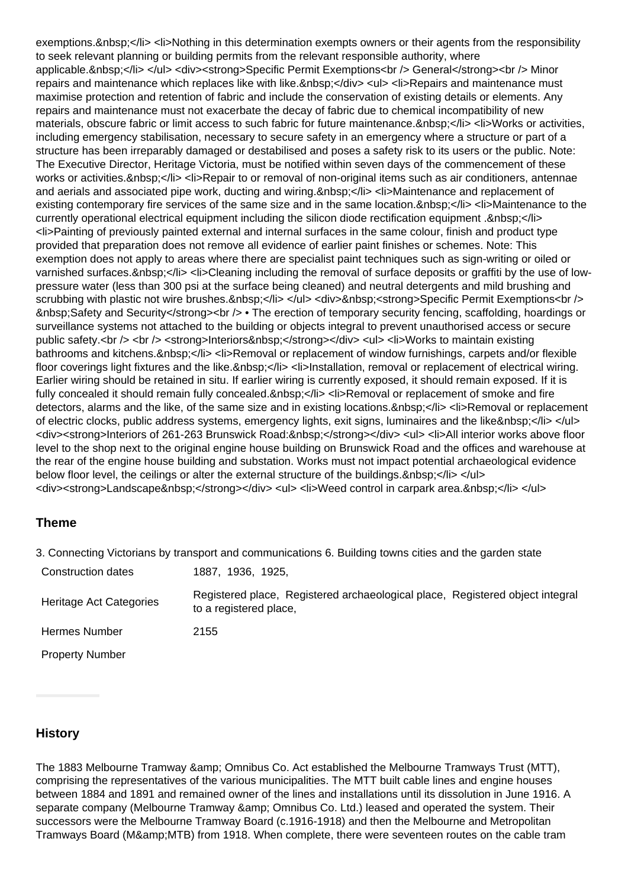exemptions.&nbsp:</li><li>Nothing in this determination exempts owners or their agents from the responsibility to seek relevant planning or building permits from the relevant responsible authority, where applicable.&nbsp:</li> </ul> <div><strong>Specific Permit Exemptions<br /> General</strong><br />br /> Minor repairs and maintenance which replaces like with like.&nbsp:</div> <ul> <li>Repairs and maintenance must maximise protection and retention of fabric and include the conservation of existing details or elements. Any repairs and maintenance must not exacerbate the decay of fabric due to chemical incompatibility of new materials, obscure fabric or limit access to such fabric for future maintenance.&nbsp:</li><li>Works or activities, including emergency stabilisation, necessary to secure safety in an emergency where a structure or part of a structure has been irreparably damaged or destabilised and poses a safety risk to its users or the public. Note: The Executive Director, Heritage Victoria, must be notified within seven days of the commencement of these works or activities. </li><li>Repair to or removal of non-original items such as air conditioners, antennae and aerials and associated pipe work, ducting and wiring.&nbsp:</li><li>Maintenance and replacement of existing contemporary fire services of the same size and in the same location. </li><li>Maintenance to the currently operational electrical equipment including the silicon diode rectification equipment .&nbsp;</li> <li>Painting of previously painted external and internal surfaces in the same colour, finish and product type provided that preparation does not remove all evidence of earlier paint finishes or schemes. Note: This exemption does not apply to areas where there are specialist paint techniques such as sign-writing or oiled or varnished surfaces.&nbsp:</li> <li>Cleaning including the removal of surface deposits or graffiti by the use of lowpressure water (less than 300 psi at the surface being cleaned) and neutral detergents and mild brushing and scrubbing with plastic not wire brushes. </li></ul><div>&nbsp;<strong>Specific Permit Exemptions<br/>>ht /> &nbsp;Safety and Security</strong><br /> • The erection of temporary security fencing, scaffolding, hoardings or surveillance systems not attached to the building or objects integral to prevent unauthorised access or secure public safety.<br />> <br />> <strong>Interiors&nbsp;</strong></div> <ul> <li>Works to maintain existing bathrooms and kitchens.&nbsp:</li> <li>Removal or replacement of window furnishings, carpets and/or flexible floor coverings light fixtures and the like.&nbsp:</li><li>lnstallation, removal or replacement of electrical wiring. Earlier wiring should be retained in situ. If earlier wiring is currently exposed, it should remain exposed. If it is fully concealed it should remain fully concealed. </li><li>Removal or replacement of smoke and fire detectors, alarms and the like, of the same size and in existing locations. </li><li>Removal or replacement of electric clocks, public address systems, emergency lights, exit signs, luminaires and the like </li> </ul> <div><strong>Interiors of 261-263 Brunswick Road:&nbsp;</strong></div> <ul> <li>All interior works above floor level to the shop next to the original engine house building on Brunswick Road and the offices and warehouse at the rear of the engine house building and substation. Works must not impact potential archaeological evidence below floor level, the ceilings or alter the external structure of the buildings.  $\langle$ li>  $\langle$ ul> <div><strong>Landscape&nbsp;</strong></div> <ul> <li>Weed control in carpark area.&nbsp;</li> </ul>

# **Theme**

3. Connecting Victorians by transport and communications 6. Building towns cities and the garden state

| Construction dates      | 1887, 1936, 1925,                                                                                       |
|-------------------------|---------------------------------------------------------------------------------------------------------|
| Heritage Act Categories | Registered place, Registered archaeological place, Registered object integral<br>to a registered place, |
| Hermes Number           | 2155                                                                                                    |
| <b>Property Number</b>  |                                                                                                         |

# **History**

The 1883 Melbourne Tramway & amp: Omnibus Co. Act established the Melbourne Tramways Trust (MTT), comprising the representatives of the various municipalities. The MTT built cable lines and engine houses between 1884 and 1891 and remained owner of the lines and installations until its dissolution in June 1916. A separate company (Melbourne Tramway & amp; Omnibus Co. Ltd.) leased and operated the system. Their successors were the Melbourne Tramway Board (c.1916-1918) and then the Melbourne and Metropolitan Tramways Board (M&MTB) from 1918. When complete, there were seventeen routes on the cable tram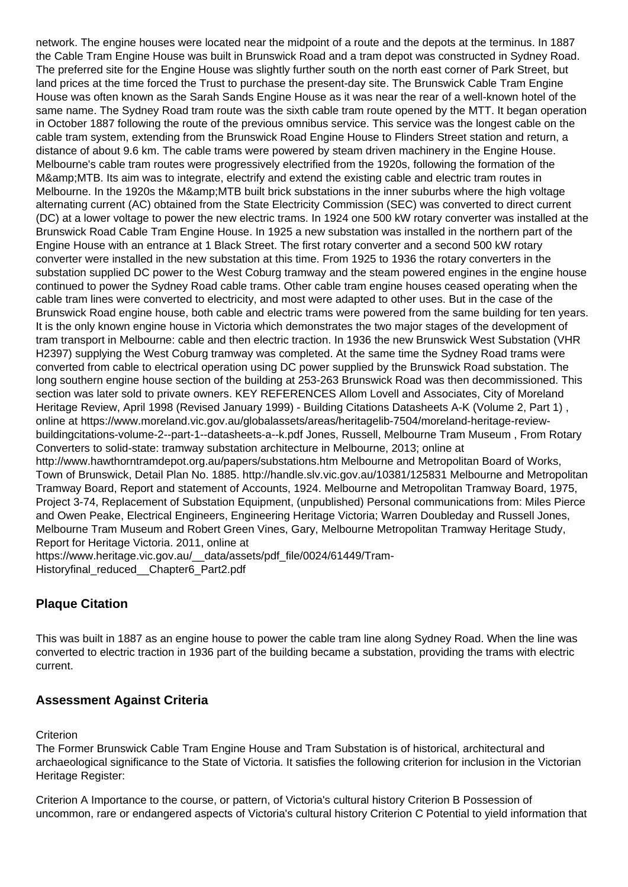network. The engine houses were located near the midpoint of a route and the depots at the terminus. In 1887 the Cable Tram Engine House was built in Brunswick Road and a tram depot was constructed in Sydney Road. The preferred site for the Engine House was slightly further south on the north east corner of Park Street, but land prices at the time forced the Trust to purchase the present-day site. The Brunswick Cable Tram Engine House was often known as the Sarah Sands Engine House as it was near the rear of a well-known hotel of the same name. The Sydney Road tram route was the sixth cable tram route opened by the MTT. It began operation in October 1887 following the route of the previous omnibus service. This service was the longest cable on the cable tram system, extending from the Brunswick Road Engine House to Flinders Street station and return, a distance of about 9.6 km. The cable trams were powered by steam driven machinery in the Engine House. Melbourne's cable tram routes were progressively electrified from the 1920s, following the formation of the M& MTB. Its aim was to integrate, electrify and extend the existing cable and electric tram routes in Melbourne. In the 1920s the M&amp: MTB built brick substations in the inner suburbs where the high voltage alternating current (AC) obtained from the State Electricity Commission (SEC) was converted to direct current (DC) at a lower voltage to power the new electric trams. In 1924 one 500 kW rotary converter was installed at the Brunswick Road Cable Tram Engine House. In 1925 a new substation was installed in the northern part of the Engine House with an entrance at 1 Black Street. The first rotary converter and a second 500 kW rotary converter were installed in the new substation at this time. From 1925 to 1936 the rotary converters in the substation supplied DC power to the West Coburg tramway and the steam powered engines in the engine house continued to power the Sydney Road cable trams. Other cable tram engine houses ceased operating when the cable tram lines were converted to electricity, and most were adapted to other uses. But in the case of the Brunswick Road engine house, both cable and electric trams were powered from the same building for ten years. It is the only known engine house in Victoria which demonstrates the two major stages of the development of tram transport in Melbourne: cable and then electric traction. In 1936 the new Brunswick West Substation (VHR H2397) supplying the West Coburg tramway was completed. At the same time the Sydney Road trams were converted from cable to electrical operation using DC power supplied by the Brunswick Road substation. The long southern engine house section of the building at 253-263 Brunswick Road was then decommissioned. This section was later sold to private owners. KEY REFERENCES Allom Lovell and Associates, City of Moreland Heritage Review, April 1998 (Revised January 1999) - Building Citations Datasheets A-K (Volume 2, Part 1) , online at https://www.moreland.vic.gov.au/globalassets/areas/heritagelib-7504/moreland-heritage-reviewbuildingcitations-volume-2--part-1--datasheets-a--k.pdf Jones, Russell, Melbourne Tram Museum , From Rotary Converters to solid-state: tramway substation architecture in Melbourne, 2013; online at http://www.hawthorntramdepot.org.au/papers/substations.htm Melbourne and Metropolitan Board of Works, Town of Brunswick, Detail Plan No. 1885. http://handle.slv.vic.gov.au/10381/125831 Melbourne and Metropolitan Tramway Board, Report and statement of Accounts, 1924. Melbourne and Metropolitan Tramway Board, 1975, Project 3-74, Replacement of Substation Equipment, (unpublished) Personal communications from: Miles Pierce and Owen Peake, Electrical Engineers, Engineering Heritage Victoria; Warren Doubleday and Russell Jones, Melbourne Tram Museum and Robert Green Vines, Gary, Melbourne Metropolitan Tramway Heritage Study, Report for Heritage Victoria. 2011, online at https://www.heritage.vic.gov.au/\_\_data/assets/pdf\_file/0024/61449/Tram-Historyfinal\_reduced\_\_Chapter6\_Part2.pdf

# **Plaque Citation**

This was built in 1887 as an engine house to power the cable tram line along Sydney Road. When the line was converted to electric traction in 1936 part of the building became a substation, providing the trams with electric current.

# **Assessment Against Criteria**

**Criterion** 

The Former Brunswick Cable Tram Engine House and Tram Substation is of historical, architectural and archaeological significance to the State of Victoria. It satisfies the following criterion for inclusion in the Victorian Heritage Register:

Criterion A Importance to the course, or pattern, of Victoria's cultural history Criterion B Possession of uncommon, rare or endangered aspects of Victoria's cultural history Criterion C Potential to yield information that